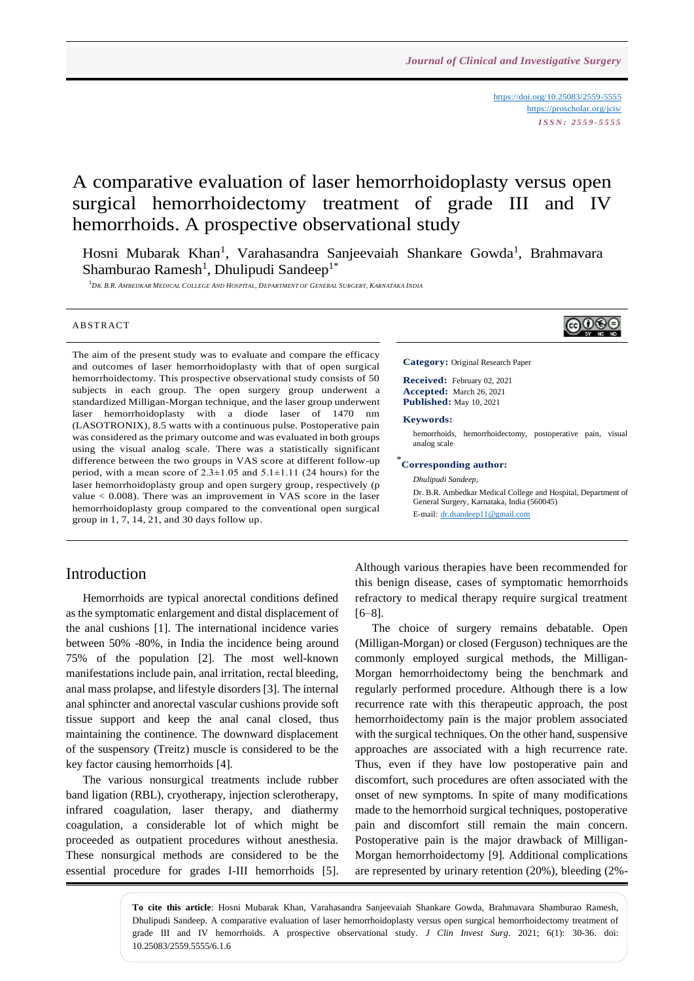<https://doi.org/10.25083/2559-5555> <https://proscholar.org/jcis/> *I S S N : 2 5 5 9 - 5 5 5 5*

# A comparative evaluation of laser hemorrhoidoplasty versus open surgical hemorrhoidectomy treatment of grade III and IV hemorrhoids. A prospective observational study

Hosni Mubarak Khan<sup>1</sup>, Varahasandra Sanjeevaiah Shankare Gowda<sup>1</sup>, Brahmavara Shamburao Ramesh<sup>1</sup>, Dhulipudi Sandeep<sup>1\*</sup>

<sup>1</sup>DR. B.R. AMBEDKAR MEDICAL COLLEGE AND HOSPITAL, DEPARTMENT OF GENERAL SURGERY, KARNATAKA INDIA

#### **ABSTRACT**

The aim of the present study was to evaluate and compare the efficacy and outcomes of laser hemorrhoidoplasty with that of open surgical hemorrhoidectomy. This prospective observational study consists of 50 subjects in each group. The open surgery group underwent a standardized Milligan-Morgan technique, and the laser group underwent laser hemorrhoidoplasty with a diode laser of 1470 nm (LASOTRONIX), 8.5 watts with a continuous pulse. Postoperative pain was considered as the primary outcome and was evaluated in both groups using the visual analog scale. There was a statistically significant difference between the two groups in VAS score at different follow-up period, with a mean score of  $2.3 \pm 1.05$  and  $5.1 \pm 1.11$  (24 hours) for the laser hemorrhoidoplasty group and open surgery group, respectively (p value  $< 0.008$ ). There was an improvement in VAS score in the laser hemorrhoidoplasty group compared to the conventional open surgical group in 1, 7, 14, 21, and 30 days follow up.

#### Introduction

Hemorrhoids are typical anorectal conditions defined as the symptomatic enlargement and distal displacement of the anal cushions [1]. The international incidence varies between 50% -80%, in India the incidence being around 75% of the population [2]. The most well-known manifestations include pain, anal irritation, rectal bleeding, anal mass prolapse, and lifestyle disorders [3]. The internal anal sphincter and anorectal vascular cushions provide soft tissue support and keep the anal canal closed, thus maintaining the continence. The downward displacement of the suspensory (Treitz) muscle is considered to be the key factor causing hemorrhoids [4].

The various nonsurgical treatments include rubber band ligation (RBL), cryotherapy, injection sclerotherapy, infrared coagulation, laser therapy, and diathermy coagulation, a considerable lot of which might be proceeded as outpatient procedures without anesthesia. These nonsurgical methods are considered to be the essential procedure for grades I-III hemorrhoids [5].

# බ⊕ල

**Category:** Original Research Paper

**Received:** February 02, 2021 **Accepted:** March 26, 2021 **Published:** May 10, 2021

#### **Keywords:**

hemorrhoids, hemorrhoidectomy, postoperative pain, visual analog scale

## \* **Corresponding author:**

*Dhulipudi Sandeep,* Dr. B.R. Ambedkar Medical College and Hospital, Department of General Surgery, Karnataka, India (560045) E-mail: [dr.dsandeep11@gmail.com](mailto:dr.dsandeep11@gmail.com)

Although various therapies have been recommended for this benign disease, cases of symptomatic hemorrhoids refractory to medical therapy require surgical treatment [6–8].

The choice of surgery remains debatable. Open (Milligan-Morgan) or closed (Ferguson) techniques are the commonly employed surgical methods, the Milligan-Morgan hemorrhoidectomy being the benchmark and regularly performed procedure. Although there is a low recurrence rate with this therapeutic approach, the post hemorrhoidectomy pain is the major problem associated with the surgical techniques. On the other hand, suspensive approaches are associated with a high recurrence rate. Thus, even if they have low postoperative pain and discomfort, such procedures are often associated with the onset of new symptoms. In spite of many modifications made to the hemorrhoid surgical techniques, postoperative pain and discomfort still remain the main concern. Postoperative pain is the major drawback of Milligan-Morgan hemorrhoidectomy [9]. Additional complications are represented by urinary retention (20%), bleeding (2%-

**To cite this article**: Hosni Mubarak Khan, Varahasandra Sanjeevaiah Shankare Gowda, Brahmavara Shamburao Ramesh, Dhulipudi Sandeep. A comparative evaluation of laser hemorrhoidoplasty versus open surgical hemorrhoidectomy treatment of grade III and IV hemorrhoids. A prospective observational study. *J Clin Invest Surg*. 2021; 6(1): 30-36. doi: 10.25083/2559.5555/6.1.6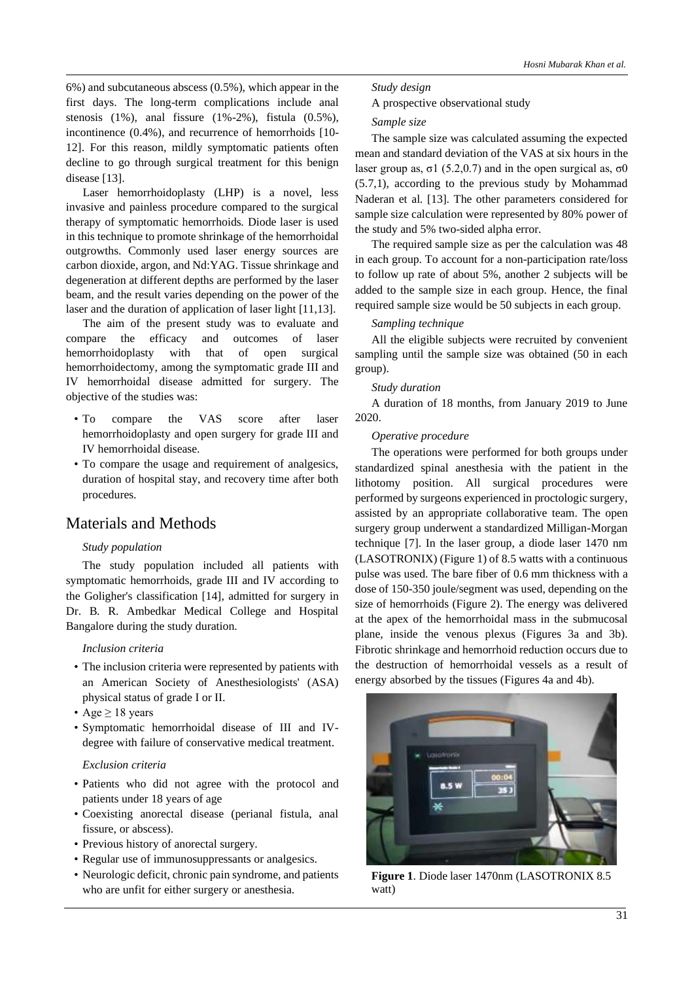6%) and subcutaneous abscess (0.5%), which appear in the first days. The long-term complications include anal stenosis  $(1\%)$ , anal fissure  $(1\% - 2\%)$ , fistula  $(0.5\%)$ , incontinence (0.4%), and recurrence of hemorrhoids [10- 12]. For this reason, mildly symptomatic patients often decline to go through surgical treatment for this benign disease [13].

Laser hemorrhoidoplasty (LHP) is a novel, less invasive and painless procedure compared to the surgical therapy of symptomatic hemorrhoids. Diode laser is used in this technique to promote shrinkage of the hemorrhoidal outgrowths. Commonly used laser energy sources are carbon dioxide, argon, and Nd:YAG. Tissue shrinkage and degeneration at different depths are performed by the laser beam, and the result varies depending on the power of the laser and the duration of application of laser light [11,13].

The aim of the present study was to evaluate and compare the efficacy and outcomes of laser hemorrhoidoplasty with that of open surgical hemorrhoidectomy, among the symptomatic grade III and IV hemorrhoidal disease admitted for surgery. The objective of the studies was:

- To compare the VAS score after laser hemorrhoidoplasty and open surgery for grade III and IV hemorrhoidal disease.
- To compare the usage and requirement of analgesics, duration of hospital stay, and recovery time after both procedures.

# Materials and Methods

#### *Study population*

The study population included all patients with symptomatic hemorrhoids, grade III and IV according to the Goligher's classification [14], admitted for surgery in Dr. B. R. Ambedkar Medical College and Hospital Bangalore during the study duration.

#### *Inclusion criteria*

- The inclusion criteria were represented by patients with an American Society of Anesthesiologists' (ASA) physical status of grade I or II.
- Age  $\geq 18$  years
- Symptomatic hemorrhoidal disease of III and IVdegree with failure of conservative medical treatment.

#### *Exclusion criteria*

- Patients who did not agree with the protocol and patients under 18 years of age
- Coexisting anorectal disease (perianal fistula, anal fissure, or abscess).
- Previous history of anorectal surgery.
- Regular use of immunosuppressants or analgesics.
- Neurologic deficit, chronic pain syndrome, and patients who are unfit for either surgery or anesthesia.

# *Study design*

A prospective observational study

#### *Sample size*

The sample size was calculated assuming the expected mean and standard deviation of the VAS at six hours in the laser group as,  $\sigma$ 1 (5.2,0.7) and in the open surgical as,  $\sigma$ 0 (5.7,1), according to the previous study by Mohammad Naderan et al. [13]. The other parameters considered for sample size calculation were represented by 80% power of the study and 5% two-sided alpha error.

The required sample size as per the calculation was 48 in each group. To account for a non-participation rate/loss to follow up rate of about 5%, another 2 subjects will be added to the sample size in each group. Hence, the final required sample size would be 50 subjects in each group.

#### *Sampling technique*

All the eligible subjects were recruited by convenient sampling until the sample size was obtained (50 in each group).

#### *Study duration*

A duration of 18 months, from January 2019 to June 2020.

#### *Operative procedure*

The operations were performed for both groups under standardized spinal anesthesia with the patient in the lithotomy position. All surgical procedures were performed by surgeons experienced in proctologic surgery, assisted by an appropriate collaborative team. The open surgery group underwent a standardized Milligan-Morgan technique [7]. In the laser group, a diode laser 1470 nm (LASOTRONIX) (Figure 1) of 8.5 watts with a continuous pulse was used. The bare fiber of 0.6 mm thickness with a dose of 150-350 joule/segment was used, depending on the size of hemorrhoids (Figure 2). The energy was delivered at the apex of the hemorrhoidal mass in the submucosal plane, inside the venous plexus (Figures 3a and 3b). Fibrotic shrinkage and hemorrhoid reduction occurs due to the destruction of hemorrhoidal vessels as a result of energy absorbed by the tissues (Figures 4a and 4b).



**Figure 1**. Diode laser 1470nm (LASOTRONIX 8.5 watt)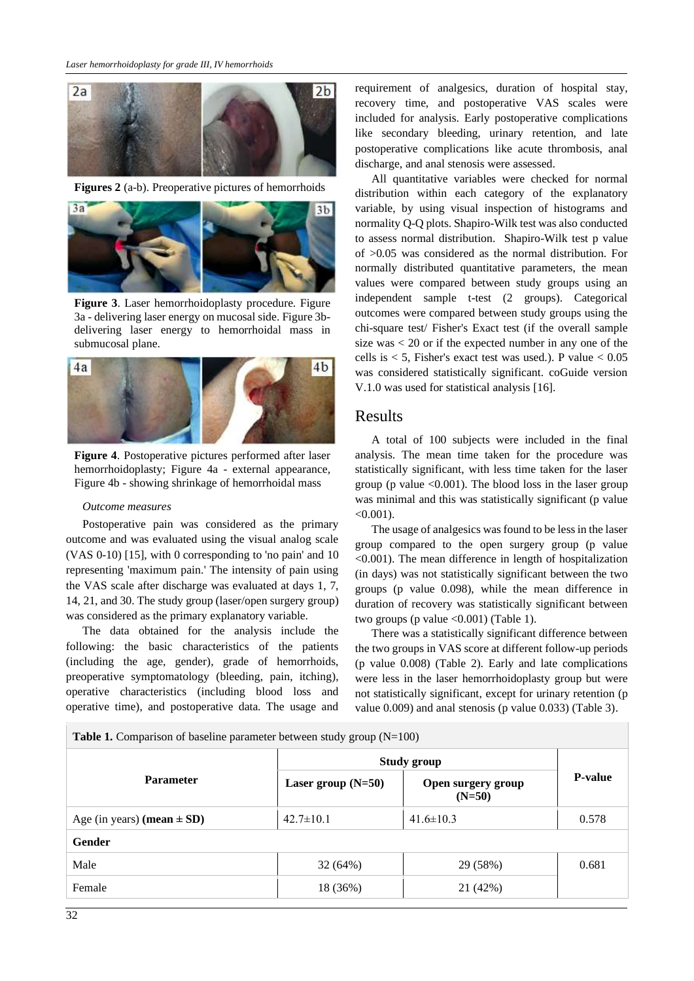

**Figures 2** (a-b). Preoperative pictures of hemorrhoids



**Figure 3**. Laser hemorrhoidoplasty procedure. Figure 3a - delivering laser energy on mucosal side. Figure 3bdelivering laser energy to hemorrhoidal mass in submucosal plane.



**Figure 4**. Postoperative pictures performed after laser hemorrhoidoplasty; Figure 4a - external appearance, Figure 4b - showing shrinkage of hemorrhoidal mass

#### *Outcome measures*

Postoperative pain was considered as the primary outcome and was evaluated using the visual analog scale (VAS 0-10) [15], with 0 corresponding to 'no pain' and 10 representing 'maximum pain.' The intensity of pain using the VAS scale after discharge was evaluated at days 1, 7, 14, 21, and 30. The study group (laser/open surgery group) was considered as the primary explanatory variable.

The data obtained for the analysis include the following: the basic characteristics of the patients (including the age, gender), grade of hemorrhoids, preoperative symptomatology (bleeding, pain, itching), operative characteristics (including blood loss and operative time), and postoperative data. The usage and

requirement of analgesics, duration of hospital stay, recovery time, and postoperative VAS scales were included for analysis. Early postoperative complications like secondary bleeding, urinary retention, and late postoperative complications like acute thrombosis, anal discharge, and anal stenosis were assessed.

All quantitative variables were checked for normal distribution within each category of the explanatory variable, by using visual inspection of histograms and normality Q-Q plots. Shapiro-Wilk test was also conducted to assess normal distribution. Shapiro-Wilk test p value of >0.05 was considered as the normal distribution. For normally distributed quantitative parameters, the mean values were compared between study groups using an independent sample t-test (2 groups). Categorical outcomes were compared between study groups using the chi-square test/ Fisher's Exact test (if the overall sample size was < 20 or if the expected number in any one of the cells is  $< 5$ , Fisher's exact test was used.). P value  $< 0.05$ was considered statistically significant. coGuide version V.1.0 was used for statistical analysis [16].

#### Results

A total of 100 subjects were included in the final analysis. The mean time taken for the procedure was statistically significant, with less time taken for the laser group (p value  $\leq 0.001$ ). The blood loss in the laser group was minimal and this was statistically significant (p value  $< 0.001$ ).

The usage of analgesics was found to be less in the laser group compared to the open surgery group (p value <0.001). The mean difference in length of hospitalization (in days) was not statistically significant between the two groups (p value 0.098), while the mean difference in duration of recovery was statistically significant between two groups (p value  $\langle 0.001 \rangle$  (Table 1).

There was a statistically significant difference between the two groups in VAS score at different follow-up periods (p value 0.008) (Table 2). Early and late complications were less in the laser hemorrhoidoplasty group but were not statistically significant, except for urinary retention (p value 0.009) and anal stenosis (p value 0.033) (Table 3).

**Table 1.** Comparison of baseline parameter between study group (N=100)

| $20000$ $\mu$ , comparison of casemie parameter seem sense, group $(11, 200)$ |                      |                                |                |  |  |
|-------------------------------------------------------------------------------|----------------------|--------------------------------|----------------|--|--|
| <b>Parameter</b>                                                              | <b>Study group</b>   |                                |                |  |  |
|                                                                               | Laser group $(N=50)$ | Open surgery group<br>$(N=50)$ | <b>P-value</b> |  |  |
| Age (in years) (mean $\pm$ SD)                                                | $42.7 \pm 10.1$      | $41.6 \pm 10.3$                | 0.578          |  |  |
| Gender                                                                        |                      |                                |                |  |  |
| Male                                                                          | 32 (64%)             | 29 (58%)                       | 0.681          |  |  |
| Female                                                                        | 18 (36%)             | 21 (42%)                       |                |  |  |
|                                                                               |                      |                                |                |  |  |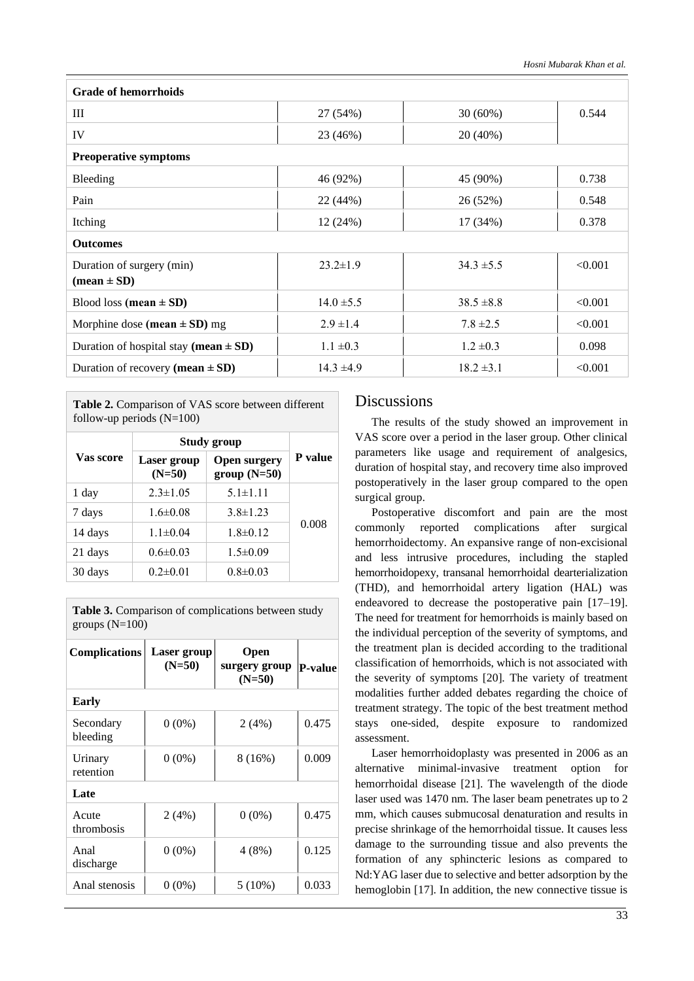| <b>Grade of hemorrhoids</b>                                |                |                |         |  |
|------------------------------------------------------------|----------------|----------------|---------|--|
| Ш                                                          | 27 (54%)       | $30(60\%)$     | 0.544   |  |
| IV                                                         | 23 (46%)       | 20 (40%)       |         |  |
| <b>Preoperative symptoms</b>                               |                |                |         |  |
| Bleeding                                                   | 46 (92%)       | 45 (90%)       | 0.738   |  |
| Pain                                                       | 22 (44%)       | 26 (52%)       | 0.548   |  |
| Itching                                                    | 12 (24%)       | 17(34%)        | 0.378   |  |
| <b>Outcomes</b>                                            |                |                |         |  |
| Duration of surgery (min)<br>$(\text{mean} \pm \text{SD})$ | $23.2 \pm 1.9$ | $34.3 \pm 5.5$ | < 0.001 |  |
| Blood loss (mean $\pm$ SD)                                 | $14.0 \pm 5.5$ | $38.5 \pm 8.8$ | < 0.001 |  |
| Morphine dose (mean $\pm$ SD) mg                           | $2.9 \pm 1.4$  | $7.8 \pm 2.5$  | < 0.001 |  |
| Duration of hospital stay (mean $\pm$ SD)                  | $1.1 \pm 0.3$  | $1.2 \pm 0.3$  | 0.098   |  |
| Duration of recovery (mean $\pm$ SD)                       | $14.3 \pm 4.9$ | $18.2 \pm 3.1$ | < 0.001 |  |

**Table 2.** Comparison of VAS score between different follow-up periods  $(N=100)$ 

|           | Study group             |                                      |         |
|-----------|-------------------------|--------------------------------------|---------|
| Vas score | Laser group<br>$(N=50)$ | <b>Open surgery</b><br>$group(N=50)$ | P value |
| 1 day     | $2.3 \pm 1.05$          | $5.1 \pm 1.11$                       |         |
| 7 days    | $1.6 \pm 0.08$          | $3.8 \pm 1.23$                       |         |
| 14 days   | $1.1 \pm 0.04$          | $1.8 \pm 0.12$                       | 0.008   |
| 21 days   | $0.6 \pm 0.03$          | $1.5 \pm 0.09$                       |         |
| 30 days   | $0.2 \pm 0.01$          | $0.8 \pm 0.03$                       |         |

**Table 3.** Comparison of complications between study groups  $(N=100)$ 

| <b>Complications</b>  | Laser group<br>$(N=50)$ | Open<br>surgery group<br>$(N=50)$ | <b>P-value</b> |  |  |
|-----------------------|-------------------------|-----------------------------------|----------------|--|--|
| Early                 |                         |                                   |                |  |  |
| Secondary<br>bleeding | $0(0\%)$                | 2(4%)                             | 0.475          |  |  |
| Urinary<br>retention  | $0(0\%)$                | 8(16%)                            | 0.009          |  |  |
| Late                  |                         |                                   |                |  |  |
| Acute<br>thrombosis   | 2(4%)                   | $0(0\%)$                          | 0.475          |  |  |
| Anal<br>discharge     | $0(0\%)$                | 4 (8%)                            | 0.125          |  |  |
| Anal stenosis         | $0(0\%)$                | $5(10\%)$                         | 0.033          |  |  |

## **Discussions**

The results of the study showed an improvement in VAS score over a period in the laser group. Other clinical parameters like usage and requirement of analgesics, duration of hospital stay, and recovery time also improved postoperatively in the laser group compared to the open surgical group.

Postoperative discomfort and pain are the most commonly reported complications after surgical hemorrhoidectomy. An expansive range of non-excisional and less intrusive procedures, including the stapled hemorrhoidopexy, transanal hemorrhoidal dearterialization (THD), and hemorrhoidal artery ligation (HAL) was endeavored to decrease the postoperative pain [17–19]. The need for treatment for hemorrhoids is mainly based on the individual perception of the severity of symptoms, and the treatment plan is decided according to the traditional classification of hemorrhoids, which is not associated with the severity of symptoms [20]. The variety of treatment modalities further added debates regarding the choice of treatment strategy. The topic of the best treatment method stays one-sided, despite exposure to randomized assessment.

Laser hemorrhoidoplasty was presented in 2006 as an alternative minimal-invasive treatment option for hemorrhoidal disease [21]. The wavelength of the diode laser used was 1470 nm. The laser beam penetrates up to 2 mm, which causes submucosal denaturation and results in precise shrinkage of the hemorrhoidal tissue. It causes less damage to the surrounding tissue and also prevents the formation of any sphincteric lesions as compared to Nd:YAG laser due to selective and better adsorption by the hemoglobin [17]. In addition, the new connective tissue is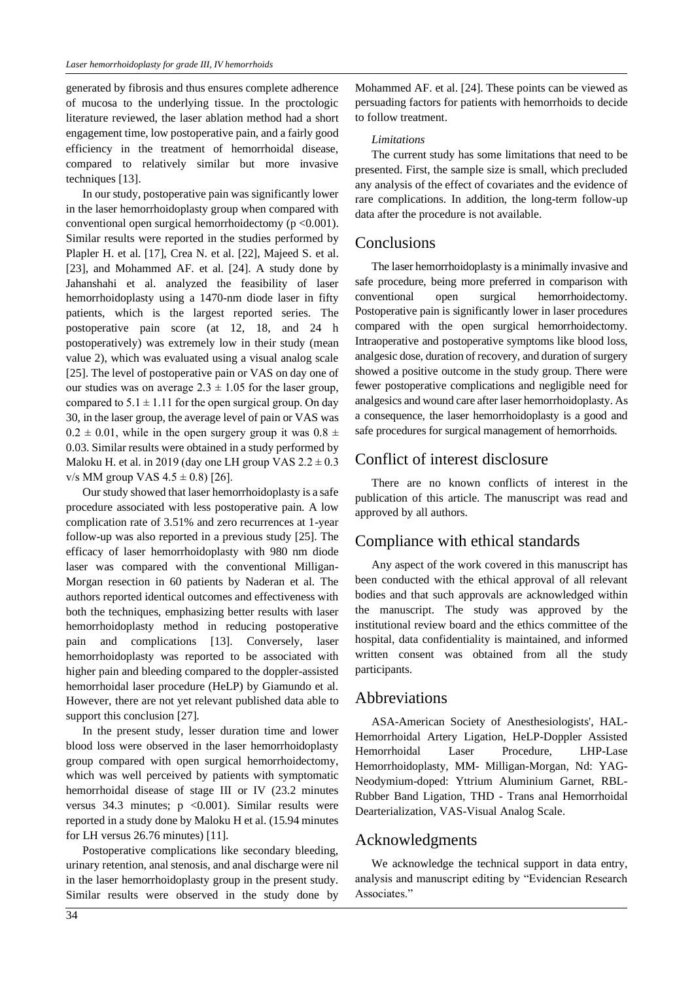generated by fibrosis and thus ensures complete adherence of mucosa to the underlying tissue. In the proctologic literature reviewed, the laser ablation method had a short engagement time, low postoperative pain, and a fairly good efficiency in the treatment of hemorrhoidal disease, compared to relatively similar but more invasive techniques [13].

In our study, postoperative pain was significantly lower in the laser hemorrhoidoplasty group when compared with conventional open surgical hemorrhoidectomy ( $p < 0.001$ ). Similar results were reported in the studies performed by Plapler H. et al. [17], Crea N. et al. [22], Majeed S. et al. [23], and Mohammed AF. et al. [24]. A study done by Jahanshahi et al. analyzed the feasibility of laser hemorrhoidoplasty using a 1470-nm diode laser in fifty patients, which is the largest reported series. The postoperative pain score (at 12, 18, and 24 h postoperatively) was extremely low in their study (mean value 2), which was evaluated using a visual analog scale [25]. The level of postoperative pain or VAS on day one of our studies was on average  $2.3 \pm 1.05$  for the laser group, compared to  $5.1 \pm 1.11$  for the open surgical group. On day 30, in the laser group, the average level of pain or VAS was  $0.2 \pm 0.01$ , while in the open surgery group it was  $0.8 \pm 0.01$ 0.03. Similar results were obtained in a study performed by Maloku H. et al. in 2019 (day one LH group VAS  $2.2 \pm 0.3$ ) v/s MM group VAS  $4.5 \pm 0.8$  [26].

Our study showed that laser hemorrhoidoplasty is a safe procedure associated with less postoperative pain. A low complication rate of 3.51% and zero recurrences at 1-year follow-up was also reported in a previous study [25]. The efficacy of laser hemorrhoidoplasty with 980 nm diode laser was compared with the conventional Milligan-Morgan resection in 60 patients by Naderan et al. The authors reported identical outcomes and effectiveness with both the techniques, emphasizing better results with laser hemorrhoidoplasty method in reducing postoperative pain and complications [13]. Conversely, laser hemorrhoidoplasty was reported to be associated with higher pain and bleeding compared to the doppler-assisted hemorrhoidal laser procedure (HeLP) by Giamundo et al. However, there are not yet relevant published data able to support this conclusion [27].

In the present study, lesser duration time and lower blood loss were observed in the laser hemorrhoidoplasty group compared with open surgical hemorrhoidectomy, which was well perceived by patients with symptomatic hemorrhoidal disease of stage III or IV (23.2 minutes versus 34.3 minutes;  $p \le 0.001$ ). Similar results were reported in a study done by Maloku H et al. (15.94 minutes for LH versus 26.76 minutes) [11].

Postoperative complications like secondary bleeding, urinary retention, anal stenosis, and anal discharge were nil in the laser hemorrhoidoplasty group in the present study. Similar results were observed in the study done by Mohammed AF. et al. [24]. These points can be viewed as persuading factors for patients with hemorrhoids to decide to follow treatment.

#### *Limitations*

The current study has some limitations that need to be presented. First, the sample size is small, which precluded any analysis of the effect of covariates and the evidence of rare complications. In addition, the long-term follow-up data after the procedure is not available.

#### Conclusions

The laser hemorrhoidoplasty is a minimally invasive and safe procedure, being more preferred in comparison with conventional open surgical hemorrhoidectomy. Postoperative pain is significantly lower in laser procedures compared with the open surgical hemorrhoidectomy. Intraoperative and postoperative symptoms like blood loss, analgesic dose, duration of recovery, and duration of surgery showed a positive outcome in the study group. There were fewer postoperative complications and negligible need for analgesics and wound care after laser hemorrhoidoplasty. As a consequence, the laser hemorrhoidoplasty is a good and safe procedures for surgical management of hemorrhoids.

## Conflict of interest disclosure

There are no known conflicts of interest in the publication of this article. The manuscript was read and approved by all authors.

# Compliance with ethical standards

Any aspect of the work covered in this manuscript has been conducted with the ethical approval of all relevant bodies and that such approvals are acknowledged within the manuscript. The study was approved by the institutional review board and the ethics committee of the hospital, data confidentiality is maintained, and informed written consent was obtained from all the study participants.

## Abbreviations

ASA-American Society of Anesthesiologists', HAL-Hemorrhoidal Artery Ligation, HeLP-Doppler Assisted Hemorrhoidal Laser Procedure, LHP-Lase Hemorrhoidoplasty, MM- Milligan-Morgan, Nd: YAG-Neodymium-doped: Yttrium Aluminium Garnet, RBL-Rubber Band Ligation, THD - Trans anal Hemorrhoidal Dearterialization, VAS-Visual Analog Scale.

## Acknowledgments

We acknowledge the technical support in data entry, analysis and manuscript editing by "Evidencian Research Associates."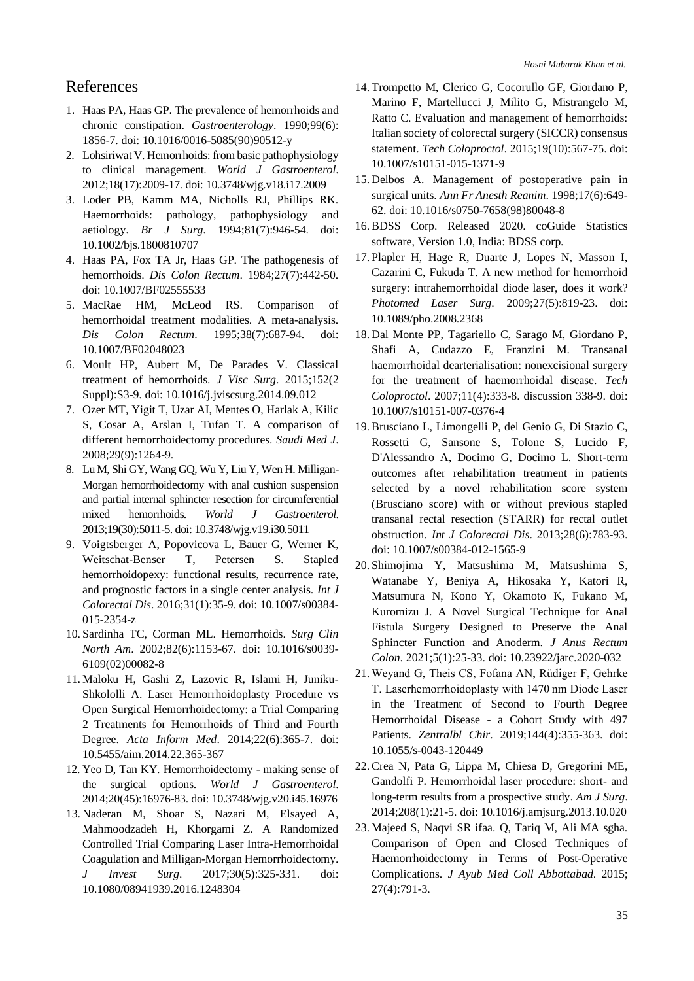## References

- 1. Haas PA, Haas GP. The prevalence of hemorrhoids and chronic constipation. *Gastroenterology*. 1990;99(6): 1856-7. doi: 10.1016/0016-5085(90)90512-y
- 2. Lohsiriwat V. Hemorrhoids: from basic pathophysiology to clinical management. *World J Gastroenterol*. 2012;18(17):2009-17. doi: 10.3748/wjg.v18.i17.2009
- 3. Loder PB, Kamm MA, Nicholls RJ, Phillips RK. Haemorrhoids: pathology, pathophysiology and aetiology. *Br J Surg*. 1994;81(7):946-54. doi: 10.1002/bjs.1800810707
- 4. Haas PA, Fox TA Jr, Haas GP. The pathogenesis of hemorrhoids. *Dis Colon Rectum*. 1984;27(7):442-50. doi: 10.1007/BF02555533
- 5. MacRae HM, McLeod RS. Comparison of hemorrhoidal treatment modalities. A meta-analysis. *Dis Colon Rectum*. 1995;38(7):687-94. doi: 10.1007/BF02048023
- 6. Moult HP, Aubert M, De Parades V. Classical treatment of hemorrhoids. *J Visc Surg*. 2015;152(2 Suppl):S3-9. doi: 10.1016/j.jviscsurg.2014.09.012
- 7. Ozer MT, Yigit T, Uzar AI, Mentes O, Harlak A, Kilic S, Cosar A, Arslan I, Tufan T. A comparison of different hemorrhoidectomy procedures. *Saudi Med J*. 2008;29(9):1264-9.
- 8. Lu M, Shi GY, Wang GQ, Wu Y, Liu Y, Wen H. Milligan-Morgan hemorrhoidectomy with anal cushion suspension and partial internal sphincter resection for circumferential mixed hemorrhoids. *World J Gastroenterol*. 2013;19(30):5011-5. doi: 10.3748/wjg.v19.i30.5011
- 9. Voigtsberger A, Popovicova L, Bauer G, Werner K, Weitschat-Benser T, Petersen S. Stapled hemorrhoidopexy: functional results, recurrence rate, and prognostic factors in a single center analysis. *Int J Colorectal Dis*. 2016;31(1):35-9. doi: 10.1007/s00384- 015-2354-z
- 10.Sardinha TC, Corman ML. Hemorrhoids. *Surg Clin North Am*. 2002;82(6):1153-67. doi: 10.1016/s0039- 6109(02)00082-8
- 11. Maloku H, Gashi Z, Lazovic R, Islami H, Juniku-Shkololli A. Laser Hemorrhoidoplasty Procedure vs Open Surgical Hemorrhoidectomy: a Trial Comparing 2 Treatments for Hemorrhoids of Third and Fourth Degree. *Acta Inform Med*. 2014;22(6):365-7. doi: 10.5455/aim.2014.22.365-367
- 12. Yeo D, Tan KY. Hemorrhoidectomy making sense of the surgical options. *World J Gastroenterol*. 2014;20(45):16976-83. doi: 10.3748/wjg.v20.i45.16976
- 13. Naderan M, Shoar S, Nazari M, Elsayed A, Mahmoodzadeh H, Khorgami Z. A Randomized Controlled Trial Comparing Laser Intra-Hemorrhoidal Coagulation and Milligan-Morgan Hemorrhoidectomy. *J Invest Surg*. 2017;30(5):325-331. doi: 10.1080/08941939.2016.1248304
- 14. Trompetto M, Clerico G, Cocorullo GF, Giordano P, Marino F, Martellucci J, Milito G, Mistrangelo M, Ratto C. Evaluation and management of hemorrhoids: Italian society of colorectal surgery (SICCR) consensus statement. *Tech Coloproctol*. 2015;19(10):567-75. doi: 10.1007/s10151-015-1371-9
- 15. Delbos A. Management of postoperative pain in surgical units. *Ann Fr Anesth Reanim*. 1998;17(6):649- 62. doi: 10.1016/s0750-7658(98)80048-8
- 16. BDSS Corp. Released 2020. coGuide Statistics software, Version 1.0, India: BDSS corp.
- 17.Plapler H, Hage R, Duarte J, Lopes N, Masson I, Cazarini C, Fukuda T. A new method for hemorrhoid surgery: intrahemorrhoidal diode laser, does it work? *Photomed Laser Surg*. 2009;27(5):819-23. doi: 10.1089/pho.2008.2368
- 18. Dal Monte PP, Tagariello C, Sarago M, Giordano P, Shafi A, Cudazzo E, Franzini M. Transanal haemorrhoidal dearterialisation: nonexcisional surgery for the treatment of haemorrhoidal disease. *Tech Coloproctol*. 2007;11(4):333-8. discussion 338-9. doi: 10.1007/s10151-007-0376-4
- 19. Brusciano L, Limongelli P, del Genio G, Di Stazio C, Rossetti G, Sansone S, Tolone S, Lucido F, D'Alessandro A, Docimo G, Docimo L. Short-term outcomes after rehabilitation treatment in patients selected by a novel rehabilitation score system (Brusciano score) with or without previous stapled transanal rectal resection (STARR) for rectal outlet obstruction. *Int J Colorectal Dis*. 2013;28(6):783-93. doi: 10.1007/s00384-012-1565-9
- 20.Shimojima Y, Matsushima M, Matsushima S, Watanabe Y, Beniya A, Hikosaka Y, Katori R, Matsumura N, Kono Y, Okamoto K, Fukano M, Kuromizu J. A Novel Surgical Technique for Anal Fistula Surgery Designed to Preserve the Anal Sphincter Function and Anoderm. *J Anus Rectum Colon*. 2021;5(1):25-33. doi: 10.23922/jarc.2020-032
- 21. Weyand G, Theis CS, Fofana AN, Rüdiger F, Gehrke T. Laserhemorrhoidoplasty with 1470 nm Diode Laser in the Treatment of Second to Fourth Degree Hemorrhoidal Disease - a Cohort Study with 497 Patients. *Zentralbl Chir*. 2019;144(4):355-363. doi: 10.1055/s-0043-120449
- 22. Crea N, Pata G, Lippa M, Chiesa D, Gregorini ME, Gandolfi P. Hemorrhoidal laser procedure: short- and long-term results from a prospective study. *Am J Surg*. 2014;208(1):21-5. doi: 10.1016/j.amjsurg.2013.10.020
- 23. Majeed S, Naqvi SR ifaa. Q, Tariq M, Ali MA sgha. Comparison of Open and Closed Techniques of Haemorrhoidectomy in Terms of Post-Operative Complications. *J Ayub Med Coll Abbottabad*. 2015; 27(4):791-3.